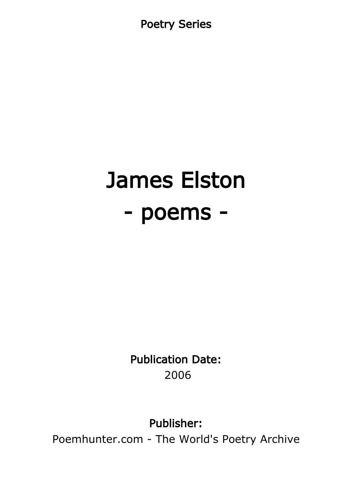Poetry Series

# James Elston - poems -

Publication Date: 2006

Publisher:

Poemhunter.com - The World's Poetry Archive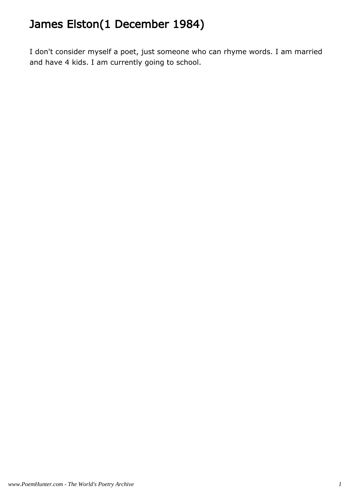# James Elston(1 December 1984)

I don't consider myself a poet, just someone who can rhyme words. I am married and have 4 kids. I am currently going to school.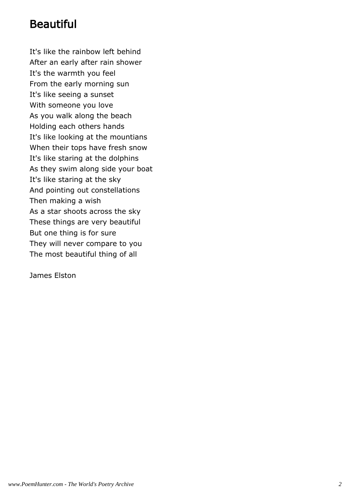# Beautiful

It's like the rainbow left behind After an early after rain shower It's the warmth you feel From the early morning sun It's like seeing a sunset With someone you love As you walk along the beach Holding each others hands It's like looking at the mountians When their tops have fresh snow It's like staring at the dolphins As they swim along side your boat It's like staring at the sky And pointing out constellations Then making a wish As a star shoots across the sky These things are very beautiful But one thing is for sure They will never compare to you The most beautiful thing of all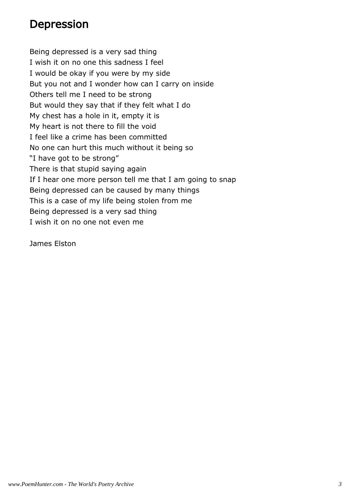#### Depression

Being depressed is a very sad thing I wish it on no one this sadness I feel I would be okay if you were by my side But you not and I wonder how can I carry on inside Others tell me I need to be strong But would they say that if they felt what I do My chest has a hole in it, empty it is My heart is not there to fill the void I feel like a crime has been committed No one can hurt this much without it being so "I have got to be strong" There is that stupid saying again If I hear one more person tell me that I am going to snap Being depressed can be caused by many things This is a case of my life being stolen from me Being depressed is a very sad thing I wish it on no one not even me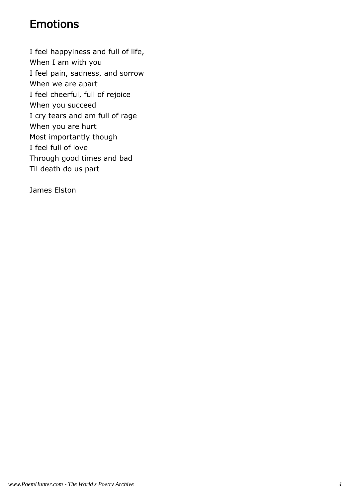# Emotions

I feel happyiness and full of life, When I am with you I feel pain, sadness, and sorrow When we are apart I feel cheerful, full of rejoice When you succeed I cry tears and am full of rage When you are hurt Most importantly though I feel full of love Through good times and bad Til death do us part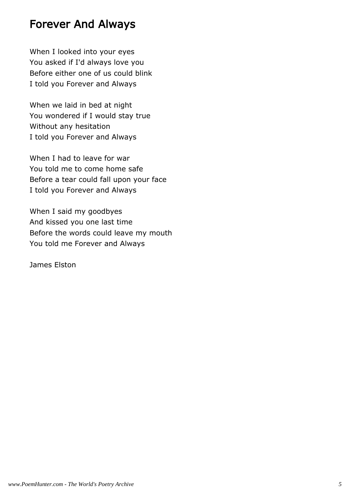#### Forever And Always

When I looked into your eyes You asked if I'd always love you Before either one of us could blink I told you Forever and Always

When we laid in bed at night You wondered if I would stay true Without any hesitation I told you Forever and Always

When I had to leave for war You told me to come home safe Before a tear could fall upon your face I told you Forever and Always

When I said my goodbyes And kissed you one last time Before the words could leave my mouth You told me Forever and Always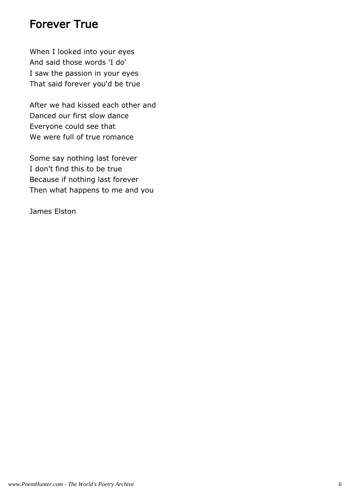#### Forever True

When I looked into your eyes And said those words 'I do' I saw the passion in your eyes That said forever you'd be true

After we had kissed each other and Danced our first slow dance Everyone could see that We were full of true romance

Some say nothing last forever I don't find this to be true Because if nothing last forever Then what happens to me and you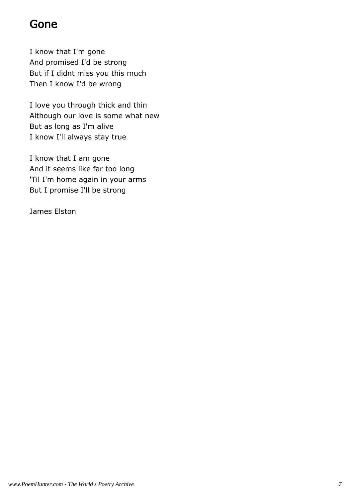# Gone

I know that I'm gone And promised I'd be strong But if I didnt miss you this much Then I know I'd be wrong

I love you through thick and thin Although our love is some what new But as long as I'm alive I know I'll always stay true

I know that I am gone And it seems like far too long 'Til I'm home again in your arms But I promise I'll be strong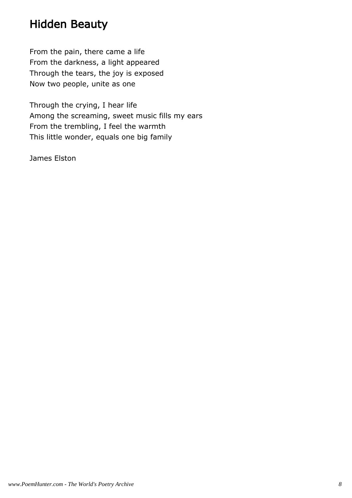# Hidden Beauty

From the pain, there came a life From the darkness, a light appeared Through the tears, the joy is exposed Now two people, unite as one

Through the crying, I hear life Among the screaming, sweet music fills my ears From the trembling, I feel the warmth This little wonder, equals one big family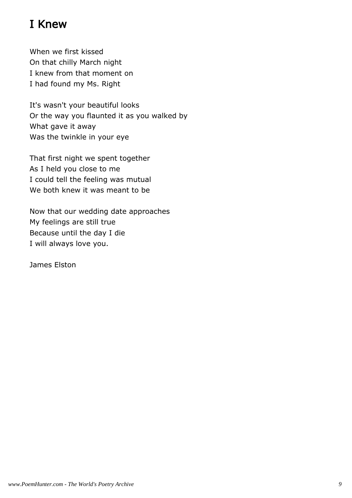# I Knew

When we first kissed On that chilly March night I knew from that moment on I had found my Ms. Right

It's wasn't your beautiful looks Or the way you flaunted it as you walked by What gave it away Was the twinkle in your eye

That first night we spent together As I held you close to me I could tell the feeling was mutual We both knew it was meant to be

Now that our wedding date approaches My feelings are still true Because until the day I die I will always love you.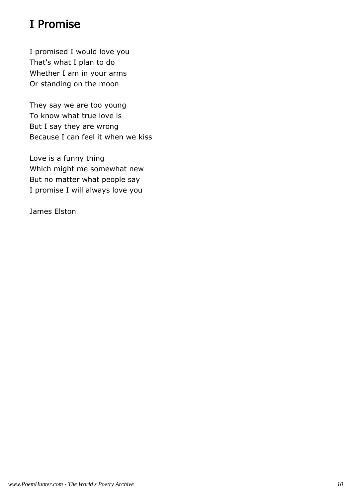# I Promise

I promised I would love you That's what I plan to do Whether I am in your arms Or standing on the moon

They say we are too young To know what true love is But I say they are wrong Because I can feel it when we kiss

Love is a funny thing Which might me somewhat new But no matter what people say I promise I will always love you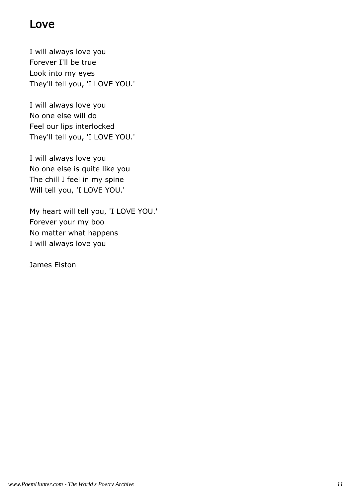### Love

I will always love you Forever I'll be true Look into my eyes They'll tell you, 'I LOVE YOU.'

I will always love you No one else will do Feel our lips interlocked They'll tell you, 'I LOVE YOU.'

I will always love you No one else is quite like you The chill I feel in my spine Will tell you, 'I LOVE YOU.'

My heart will tell you, 'I LOVE YOU.' Forever your my boo No matter what happens I will always love you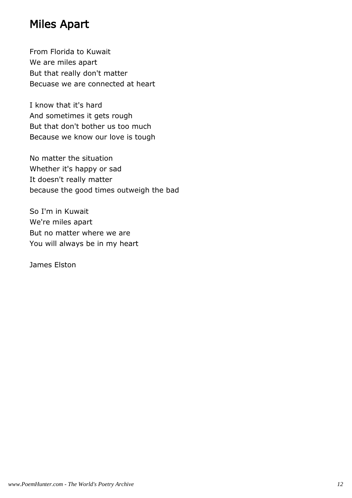# Miles Apart

From Florida to Kuwait We are miles apart But that really don't matter Becuase we are connected at heart

I know that it's hard And sometimes it gets rough But that don't bother us too much Because we know our love is tough

No matter the situation Whether it's happy or sad It doesn't really matter because the good times outweigh the bad

So I'm in Kuwait We're miles apart But no matter where we are You will always be in my heart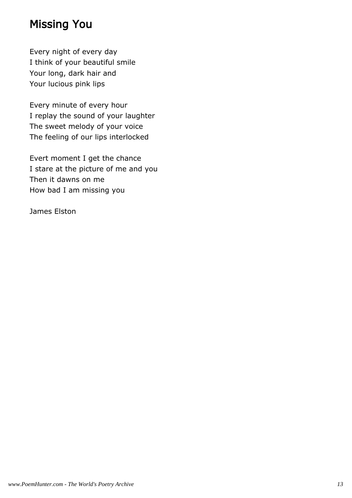# Missing You

Every night of every day I think of your beautiful smile Your long, dark hair and Your lucious pink lips

Every minute of every hour I replay the sound of your laughter The sweet melody of your voice The feeling of our lips interlocked

Evert moment I get the chance I stare at the picture of me and you Then it dawns on me How bad I am missing you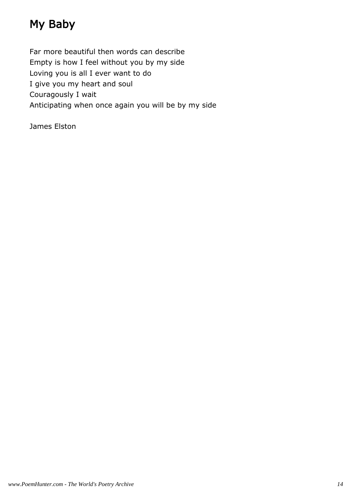# My Baby

Far more beautiful then words can describe Empty is how I feel without you by my side Loving you is all I ever want to do I give you my heart and soul Couragously I wait Anticipating when once again you will be by my side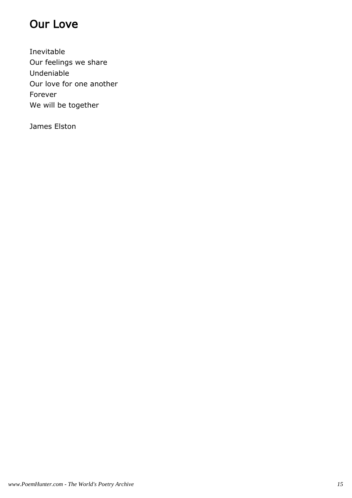# Our Love

Inevitable Our feelings we share Undeniable Our love for one another Forever We will be together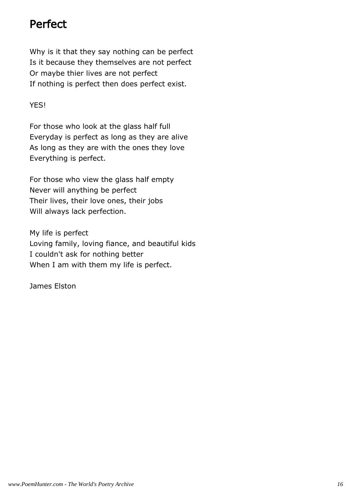# Perfect

Why is it that they say nothing can be perfect Is it because they themselves are not perfect Or maybe thier lives are not perfect If nothing is perfect then does perfect exist.

#### YES!

For those who look at the glass half full Everyday is perfect as long as they are alive As long as they are with the ones they love Everything is perfect.

For those who view the glass half empty Never will anything be perfect Their lives, their love ones, their jobs Will always lack perfection.

My life is perfect Loving family, loving fiance, and beautiful kids I couldn't ask for nothing better When I am with them my life is perfect.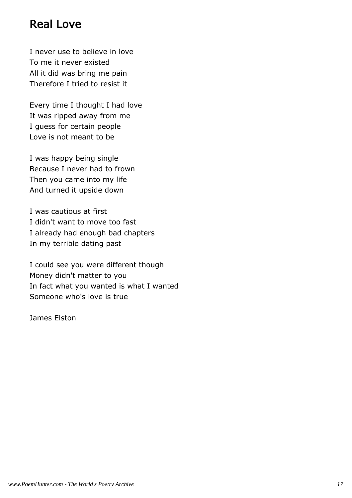# Real Love

I never use to believe in love To me it never existed All it did was bring me pain Therefore I tried to resist it

Every time I thought I had love It was ripped away from me I guess for certain people Love is not meant to be

I was happy being single Because I never had to frown Then you came into my life And turned it upside down

I was cautious at first I didn't want to move too fast I already had enough bad chapters In my terrible dating past

I could see you were different though Money didn't matter to you In fact what you wanted is what I wanted Someone who's love is true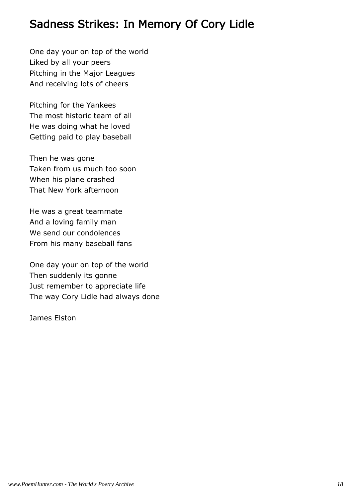#### Sadness Strikes: In Memory Of Cory Lidle

One day your on top of the world Liked by all your peers Pitching in the Major Leagues And receiving lots of cheers

Pitching for the Yankees The most historic team of all He was doing what he loved Getting paid to play baseball

Then he was gone Taken from us much too soon When his plane crashed That New York afternoon

He was a great teammate And a loving family man We send our condolences From his many baseball fans

One day your on top of the world Then suddenly its gonne Just remember to appreciate life The way Cory Lidle had always done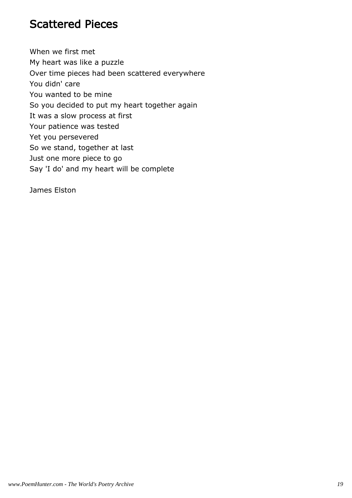#### Scattered Pieces

When we first met My heart was like a puzzle Over time pieces had been scattered everywhere You didn' care You wanted to be mine So you decided to put my heart together again It was a slow process at first Your patience was tested Yet you persevered So we stand, together at last Just one more piece to go Say 'I do' and my heart will be complete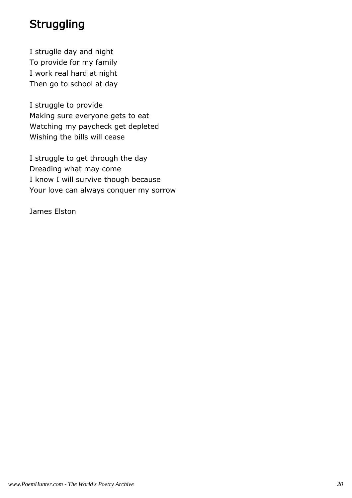# **Struggling**

I struglle day and night To provide for my family I work real hard at night Then go to school at day

I struggle to provide Making sure everyone gets to eat Watching my paycheck get depleted Wishing the bills will cease

I struggle to get through the day Dreading what may come I know I will survive though because Your love can always conquer my sorrow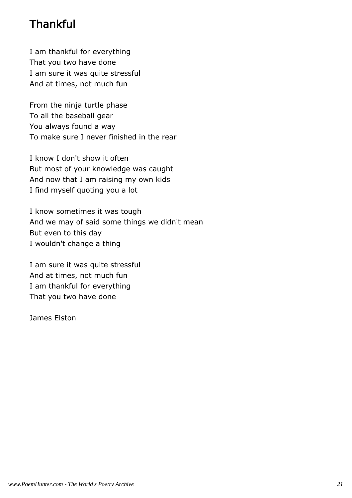# **Thankful**

I am thankful for everything That you two have done I am sure it was quite stressful And at times, not much fun

From the ninja turtle phase To all the baseball gear You always found a way To make sure I never finished in the rear

I know I don't show it often But most of your knowledge was caught And now that I am raising my own kids I find myself quoting you a lot

I know sometimes it was tough And we may of said some things we didn't mean But even to this day I wouldn't change a thing

I am sure it was quite stressful And at times, not much fun I am thankful for everything That you two have done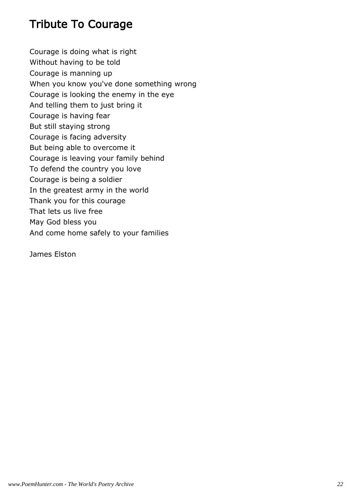# Tribute To Courage

Courage is doing what is right Without having to be told Courage is manning up When you know you've done something wrong Courage is looking the enemy in the eye And telling them to just bring it Courage is having fear But still staying strong Courage is facing adversity But being able to overcome it Courage is leaving your family behind To defend the country you love Courage is being a soldier In the greatest army in the world Thank you for this courage That lets us live free May God bless you And come home safely to your families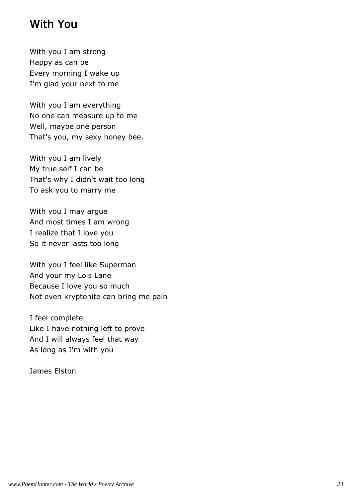#### With You

With you I am strong Happy as can be Every morning I wake up I'm glad your next to me

With you I am everything No one can measure up to me Well, maybe one person That's you, my sexy honey bee.

With you I am lively My true self I can be That's why I didn't wait too long To ask you to marry me

With you I may argue And most times I am wrong I realize that I love you So it never lasts too long

With you I feel like Superman And your my Lois Lane Because I love you so much Not even kryptonite can bring me pain

I feel complete Like I have nothing left to prove And I will always feel that way As long as I'm with you